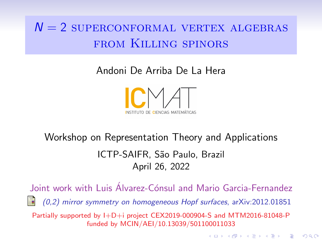# $N = 2$  superconformal vertex algebras from Killing spinors

Andoni De Arriba De La Hera



# Workshop on Representation Theory and Applications ICTP-SAIFR, S˜ao Paulo, Brazil April 26, 2022

Joint work with Luis Alvarez-Cónsul and Mario Garcia-Fernandez

(0,2) mirror symmetry on homogeneous Hopf surfaces, arXiv:2012.01851

**KORKA SERKER YOUR** 

Partially supported by I+D+i project CEX2019-000904-S and MTM2016-81048-P funded by MCIN/AEI/10.13039/501100011033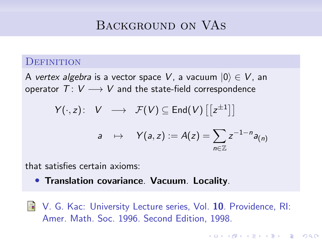# Background on VAs

#### **DEFINITION**

A vertex algebra is a vector space V, a vacuum  $|0\rangle \in V$ , an operator  $T: V \longrightarrow V$  and the state-field correspondence

$$
Y(\cdot, z): V \longrightarrow \mathcal{F}(V) \subseteq \text{End}(V) \left[ \left[ z^{\pm 1} \right] \right]
$$
  

$$
a \mapsto Y(a, z) := A(z) = \sum_{n \in \mathbb{Z}} z^{-1-n} a_{(n)}
$$

that satisfies certain axioms:

- Translation covariance. Vacuum. Locality.
- V. G. Kac: University Lecture series, Vol. 10. Providence, RI: Amer. Math. Soc. 1996. Second Edition, 1998.

**KORKARYKERKER POLO**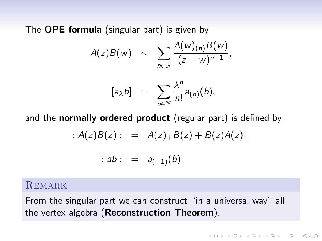The **OPE formula** (singular part) is given by

$$
A(z)B(w) \sim \sum_{n\in\mathbb{N}}\frac{A(w)_{(n)}B(w)}{(z-w)^{n+1}};
$$

$$
[a_{\lambda}b] = \sum_{n\in\mathbb{N}}\frac{\lambda^n}{n!}a_{(n)}(b),
$$

and the **normally ordered product** (regular part) is defined by

$$
: A(z)B(z): = A(z)_{+}B(z) + B(z)A(z)_{-}
$$

:  $ab$  : =  $a_{(-1)}(b)$ 

#### **REMARK**

From the singular part we can construct "in a universal way" all the vertex algebra (Reconstruction Theorem).

KO K K Ø K K E K K E K V K K K K K K K K K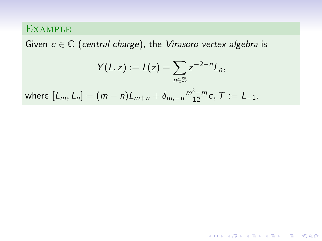Given  $c \in \mathbb{C}$  (central charge), the Virasoro vertex algebra is

$$
Y(L, z) := L(z) = \sum_{n \in \mathbb{Z}} z^{-2-n} L_n,
$$
  
where  $[L_m, L_n] = (m - n)L_{m+n} + \delta_{m, -n} \frac{m^3 - m}{12} c, T := L_{-1}.$ 

KO K K Ø K K E K K E K V K K K K K K K K K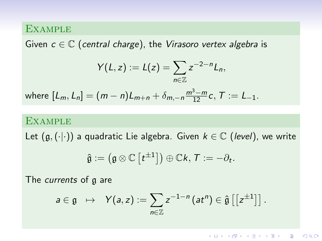Given  $c \in \mathbb{C}$  (central charge), the Virasoro vertex algebra is

$$
Y(L,z):=L(z)=\sum_{n\in\mathbb{Z}}z^{-2-n}L_n,
$$

where  $[L_m, L_n] = (m - n)L_{m+n} + \delta_{m,-n} \frac{m^3 - m}{12}c, T := L_{-1}.$ 

#### **EXAMPLE**

Let  $(g, (\cdot | \cdot))$  a quadratic Lie algebra. Given  $k \in \mathbb{C}$  (level), we write

$$
\hat{\mathfrak{g}}:=\left(\mathfrak{g} \otimes \mathbb{C}\left[t^{\pm 1}\right]\right) \oplus \mathbb{C} k, \, \mathcal{T}:=-\partial_t.
$$

The *currents* of a are

$$
a\in \mathfrak{g} \;\;\mapsto\;\; \mathsf{Y}(a,z):=\sum_{n\in \mathbb{Z}}z^{-1-n}\left(at^n\right)\in \hat{\mathfrak{g}}\left[\left[z^{\pm 1}\right]\right].
$$

**KORKAR KERKER ST VOOR**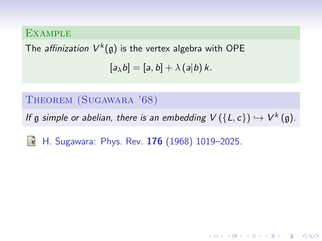The *affinization*  $V^k(\mathfrak{g})$  is the vertex algebra with OPE  $[a_{\lambda}b] = [a, b] + \lambda (a|b)k$ .

### Theorem (Sugawara '68)

If  $\mathfrak g$  simple or abelian, there is an embedding  $V(\{L, c\}) \hookrightarrow V^k(\mathfrak g)$ .

H. Sugawara: Phys. Rev. 176 (1968) 1019–2025. F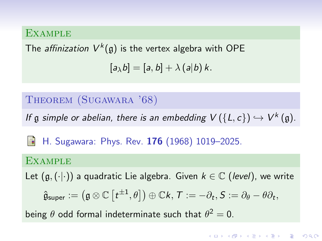The *affinization*  $V^k(\mathfrak{g})$  is the vertex algebra with OPE  $[a_{\lambda}b] = [a, b] + \lambda (a|b)k$ .

#### Theorem (Sugawara '68)

If  $\mathfrak g$  simple or abelian, there is an embedding  $V(\{L, c\}) \hookrightarrow V^k(\mathfrak g)$ .

H. Sugawara: Phys. Rev. 176 (1968) 1019–2025. 螶

#### **EXAMPLE**

Let  $(g, (\cdot)$  a quadratic Lie algebra. Given  $k \in \mathbb{C}$  (level), we write

$$
\hat{\mathfrak{g}}_{\textsf{super}} := \left(\mathfrak{g} \otimes \mathbb{C}\left[t^{\pm 1}, \theta\right]\right) \oplus \mathbb{C} k, \, \mathcal{T} := -\partial_t, S := \partial_\theta - \theta \partial_t,
$$

being  $\theta$  odd formal indeterminate such that  $\theta^2=0$ .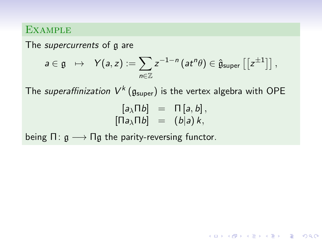The *supercurrents* of g are

$$
a\in \mathfrak{g} \ \ \mapsto \ \ Y(a,z):=\sum_{n\in \mathbb{Z}}z^{-1-n}\left(at^n\theta\right)\in \hat{\mathfrak{g}}_{\text{super}}\left[\left[z^{\pm 1}\right]\right],
$$

The *superaffinization*  $V^k\left(\mathfrak{g}_{\text{super}}\right)$  is the vertex algebra with OPE

$$
\begin{array}{rcl} [a_{\lambda}\Pi b] & = & \Pi [a, b], \\ \text{[} \Pi a_{\lambda}\Pi b] & = & (b|a) k, \end{array}
$$

**KORKARYKERKER POLO** 

being  $\Pi: \mathfrak{g} \longrightarrow \Pi \mathfrak{g}$  the parity-reversing functor.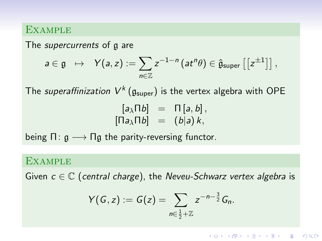The *supercurrents* of a are

$$
a\in \mathfrak{g} \ \ \mapsto \ \ Y(a,z):=\sum_{n\in \mathbb{Z}}z^{-1-n}\left(at^n\theta\right)\in \hat{\mathfrak{g}}_{\text{super}}\left[\left[z^{\pm 1}\right]\right],
$$

The *superaffinization*  $V^k\left(\mathfrak{g}_{\text{super}}\right)$  is the vertex algebra with OPE

$$
\begin{array}{rcl} [a_{\lambda}\Pi b] & = & \Pi [a, b], \\ \text{[} \Pi a_{\lambda}\Pi b] & = & (b|a) k, \end{array}
$$

being  $\Pi: \mathfrak{g} \longrightarrow \Pi \mathfrak{g}$  the parity-reversing functor.

#### **EXAMPLE**

Given  $c \in \mathbb{C}$  (central charge), the Neveu-Schwarz vertex algebra is

$$
Y(G,z):=G(z)=\sum_{n\in\frac{1}{2}+\mathbb{Z}}z^{-n-\frac{3}{2}}G_n.
$$

**KORKARYKERKER POLO**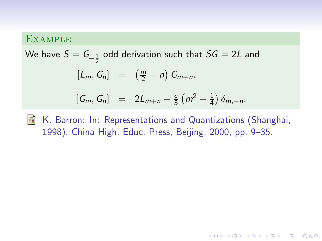We have  $\mathcal{S} = \mathcal{G}_{-\frac{1}{2}}$  odd derivation such that  $\mathcal{S} \mathcal{G} = 2 \mathcal{L}$  and  $[L_m, G_n] = (\frac{m}{2} - n) G_{m+n},$  $[G_m, G_n] = 2L_{m+n} + \frac{c}{3}$  $rac{c}{3} (m^2 - \frac{1}{4})$  $rac{1}{4}$ )  $\delta_{m,-n}$ .

K. Barron: In: Representations and Quantizations (Shanghai, 暈 1998). China High. Educ. Press, Beijing, 2000, pp. 9–35.

**KORKAR KERKER SAGA**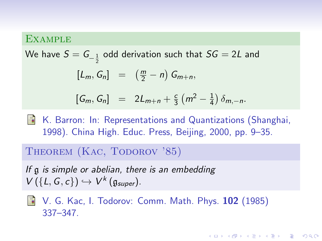We have  $\mathcal{S} = \mathcal{G}_{-\frac{1}{2}}$  odd derivation such that  $\mathcal{S} \mathcal{G} = 2 \mathcal{L}$  and  $[L_m, G_n] = (\frac{m}{2} - n) G_{m+n},$  $[G_m, G_n] = 2L_{m+n} + \frac{c}{3}$  $rac{c}{3} (m^2 - \frac{1}{4})$  $rac{1}{4}$ )  $\delta_{m,-n}$ .

**E** K. Barron: In: Representations and Quantizations (Shanghai, 1998). China High. Educ. Press, Beijing, 2000, pp. 9–35.

#### THEOREM (KAC, TODOROV '85)

If g is simple or abelian, there is an embedding  $V(\lbrace L, G, c \rbrace) \hookrightarrow V^k(\mathfrak{g}_{super}).$ 

**N** V. G. Kac, I. Todorov: Comm. Math. Phys. 102 (1985) 337–347.

KELK KØLK VELKEN EL 1990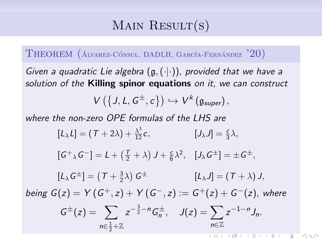# MAIN RESULT $(s)$

THEOREM  $(A_{LVAREZ}CónsUL, DADLH, GARCÍA-FERNÁNDEZ$ <sup>'20</sup>)

Given a quadratic Lie algebra  $(g, (\cdot|\cdot))$ , provided that we have a solution of the **Killing spinor equations** on it, we can construct

$$
V\left(\left\{J,L,G^{\pm},c\right\}\right)\hookrightarrow V^{k}\left(\mathfrak{g}_{super}\right),
$$

where the non-zero OPE formulas of the LHS are

$$
[L_{\lambda}L] = (T + 2\lambda) + \frac{\lambda^3}{12}c, \qquad [J_{\lambda}J] = \frac{c}{3}\lambda,
$$
  
\n
$$
[G^+{}_{\lambda}G^-] = L + (\frac{T}{2} + \lambda) J + \frac{c}{6}\lambda^2, \quad [J_{\lambda}G^{\pm}] = \pm G^{\pm},
$$
  
\n
$$
[L_{\lambda}G^{\pm}] = (T + \frac{3}{2}\lambda) G^{\pm} \qquad [L_{\lambda}J] = (T + \lambda) J,
$$
  
\nbeing  $G(z) = Y(G^+, z) + Y(G^-, z) := G^+(z) + G^-(z)$ , where  
\n
$$
G^{\pm}(z) = \sum_{n \in \frac{1}{2} + \mathbb{Z}} z^{-\frac{3}{2} - n} G_n^{\pm}, \quad J(z) = \sum_{n \in \mathbb{Z}} z^{-1 - n} J_n.
$$

 $2990$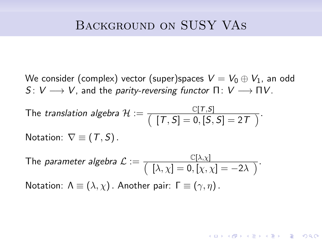We consider (complex) vector (super)spaces  $V = V_0 \oplus V_1$ , an odd  $S: V \longrightarrow V$ , and the parity-reversing functor  $\Pi: V \longrightarrow \Pi V$ .

The translation algebra 
$$
\mathcal{H} := \frac{\mathbb{C}[T, S]}{[T, S] = 0, [S, S] = 2T}
$$
.

Notation:  $\nabla \equiv (\mathcal{T}, \mathcal{S})$ .

The parameter algebra 
$$
\mathcal{L} := \frac{\mathbb{C}[\lambda, \chi]}{(\lambda, \chi] = 0, [\chi, \chi] = -2\lambda)}
$$
.  
Notation:  $\Lambda \equiv (\lambda, \chi)$ . Another pair:  $\Gamma \equiv (\gamma, \eta)$ .

**KORKARYKERKER POLO**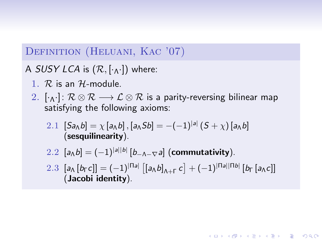### DEFINITION (HELUANI, KAC '07)

A SUSY LCA is  $(\mathcal{R}, [\cdot_{\Lambda} \cdot])$  where:

- 1.  $\mathcal{R}$  is an  $\mathcal{H}$ -module.
- 2.  $[\cdot_A \cdot]$ :  $\mathcal{R} \otimes \mathcal{R} \longrightarrow \mathcal{L} \otimes \mathcal{R}$  is a parity-reversing bilinear map satisfying the following axioms:
	- 2.1  $[Sa_\Lambda b] = \chi [a_\Lambda b]$ ,  $[a_\Lambda S b] = -(-1)^{|a|} (S + \chi) [a_\Lambda b]$ (sesquilinearity).
	- 2.2  $[a_{\Lambda}b] = (-1)^{|a||b|} [b_{-\Lambda-\nabla}a]$  (commutativity).
	- 2.3  $[a_\Lambda [b_\Gamma c]] = (-1)^{|\Pi a|} [ [a_\Lambda b]_{\Lambda + \Gamma} c] + (-1)^{|\Pi a||\Pi b|} [b_\Gamma [a_\Lambda c]]$ (Jacobi identity).

**KORKARYKERKER POLO**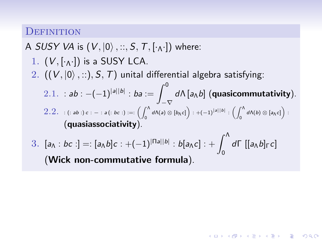#### **DEFINITION**

A SUSY VA is  $(V, |0\rangle, ..., S, T, [\cdot_{\Lambda}\cdot])$  where:

- 1.  $(V, [\cdot_A \cdot])$  is a SUSY LCA. 2.  $((V, |0\rangle, \ldots), S, T)$  unital differential algebra satisfying:  $2.1.$  : ab :  $-(-1)^{|a||b|}$  : ba :=  $\int^0$  $\int_{-\nabla} d\Lambda \left[ a_{\Lambda} b \right]$  (quasicommutativity).  $2.2.$  : (: ab :) c : – : a (: bc :) :=:  $\left( \int_0^\Lambda d \Lambda(\mathsf{a}) \otimes [b_\Lambda \mathsf{c}] \right) : + (-1)^{|\mathsf{a}||\mathsf{b}|} : \left( \int_0^\Lambda \mathsf{a} \Lambda(\mathsf{a}) \otimes [b_\Lambda \mathsf{c}] \right)$  $\int_0^\Lambda d\Lambda(b)\otimes [a_\Lambda c]\bigg):$ (quasiassociativity).
- 3.  $[a_\Lambda : bc:] =: [a_\Lambda b]c : +(-1)^{|\Pi a||b|} : b[a_\Lambda c] : + \int_0^\Lambda d\Gamma [[a_\Lambda b] \Gamma c]$ (Wick non-commutative formula).

**KORKAR KERKER DRAM**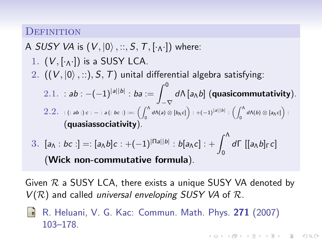#### **DEFINITION**

A SUSY VA is  $(V, |0\rangle, ..., S, T, [\cdot_A \cdot])$  where:

1. 
$$
(V, [\cdot_{\Lambda} \cdot])
$$
 is a SUSY LCA.

- 2.  $((V, |0\rangle, \ldots), S, T)$  unital differential algebra satisfying:
	- $2.1.$  : ab :  $-(-1)^{|a||b|}$  : ba :=  $\int^0$  $\int_{-\nabla} d\Lambda \left[ a_{\Lambda} b \right]$  (quasicommutativity).  $2.2.$  : (: ab :) c : – : a (: bc :) :=:  $\left( \int_0^\Lambda d \Lambda(\mathsf{a}) \otimes [b_\Lambda \mathsf{c}] \right) : + (-1)^{|\mathsf{a}||\mathsf{b}|} : \left( \int_0^\Lambda \mathsf{a} \Lambda(\mathsf{a}) \otimes [b_\Lambda \mathsf{c}] \right)$  $\int_0^\Lambda d\Lambda(b)\otimes [a_\Lambda c]\bigg):$ (quasiassociativity).
- 3.  $[a_\Lambda : bc:] =: [a_\Lambda b]c : +(-1)^{|\Pi a||b|} : b[a_\Lambda c] : + \int_0^\Lambda d\Gamma [[a_\Lambda b] \Gamma c]$ (Wick non-commutative formula).

Given  $\mathcal R$  a SUSY LCA, there exists a unique SUSY VA denoted by  $V(R)$  and called universal enveloping SUSY VA of R.

**KORKAR KERKER SAGA** 

R. Heluani, V. G. Kac: Commun. Math. Phys. 271 (2007) 103–178.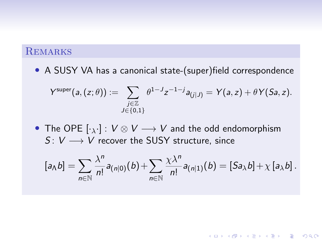### **REMARKS**

• A SUSY VA has a canonical state-(super) field correspondence

$$
Y^{\text{super}}(a,(z;\theta)) := \sum_{\substack{j\in\mathbb{Z}\\J\in\{0,1\}}} \theta^{1-J}z^{-1-j}a_{(j|J)} = Y(a,z) + \theta Y(Sa,z).
$$

• The OPE  $[\cdot_{\lambda} \cdot] : V \otimes V \longrightarrow V$  and the odd endomorphism  $S: V \longrightarrow V$  recover the SUSY structure, since

$$
[a_{\Lambda}b]=\sum_{n\in\mathbb{N}}\frac{\lambda^n}{n!}a_{(n|0)}(b)+\sum_{n\in\mathbb{N}}\frac{\chi\lambda^n}{n!}a_{(n|1)}(b)=[Sa_{\lambda}b]+\chi\left[a_{\lambda}b\right].
$$

K ロ ▶ K 個 ▶ K 할 ▶ K 할 ▶ 이 할 → 9 Q Q →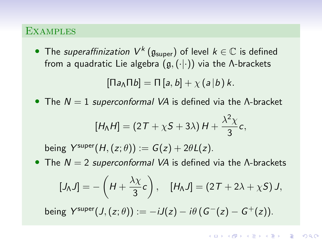• The superaffinization  $V^k\left(\mathfrak{g}_{\text{super}}\right)$  of level  $k\in\mathbb{C}$  is defined from a quadratic Lie algebra  $(g, (\cdot | \cdot))$  via the Λ-brackets

$$
[\Pi a_{\Lambda} \Pi b] = \Pi [a, b] + \chi (a | b) k.
$$

• The  $N = 1$  superconformal VA is defined via the  $\Lambda$ -bracket

$$
[H_{\Lambda}H]=(2T+\chi S+3\lambda)H+\frac{\lambda^{2}\chi}{3}c,
$$

being  $Y^{super}(H,(z; \theta)) := G(z) + 2\theta L(z)$ .

• The  $N = 2$  superconformal VA is defined via the  $\Lambda$ -brackets

$$
[J_{\Lambda}J] = -\left(H + \frac{\lambda \chi}{3}c\right), \quad [H_{\Lambda}J] = (2T + 2\lambda + \chi S) J,
$$

being  $Y^{super}(J,(z;\theta)) := -iJ(z) - i\theta (G^{-}(z) - G^{+}(z)).$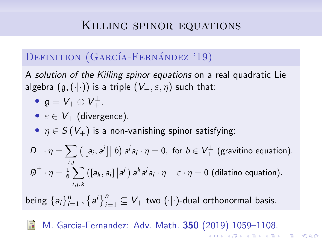# Killing spinor equations

## DEFINITION (GARCÍA-FERNÁNDEZ '19)

A solution of the Killing spinor equations on a real quadratic Lie algebra  $(g, (\cdot | \cdot))$  is a triple  $(V_+, \varepsilon, \eta)$  such that:

• 
$$
\mathfrak{g} = V_+ \oplus V_+^{\perp}
$$
.

• 
$$
\varepsilon \in V_+
$$
 (divergence).

•  $\eta \in S(V_+)$  is a non-vanishing spinor satisfying:

$$
D_{-} \cdot \eta = \sum_{i,j} \left( \left[ a_i, a^j \right] \middle| b \right) a^j a_i \cdot \eta = 0, \text{ for } b \in V_{+}^{\perp} \text{ (gravitino equation)}.
$$
  

$$
\not{D}^+ \cdot \eta = \frac{1}{6} \sum_{i,j,k} \left( \left[ a_k, a_i \right] \middle| a^j \right) a^k a^j a_i \cdot \eta - \varepsilon \cdot \eta = 0 \text{ (dilatino equation)}.
$$

being  $\{a_i\}_{i=1}^n$  ,  $\{a^i\}_{i=1}^n \subseteq V_+$  two  $(\cdot | \cdot)$ -dual orthonormal basis.

M. Garcia-Fernandez: Adv. Math. 350 (2019) 1059–1108.K ロ X K 레 X K 플 X K 클 X T 블 X YO Q Q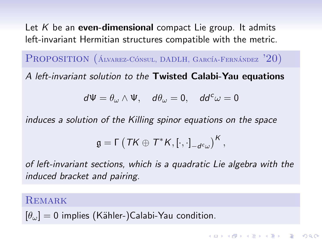Let  $K$  be an even-dimensional compact Lie group. It admits left-invariant Hermitian structures compatible with the metric.

PROPOSITION  $(A_{LVAREZ}C\acute{o}n$ sul, DADLH, GARCÍA-FERNÁNDEZ  $'20$ )

A left-invariant solution to the Twisted Calabi-Yau equations

$$
d\Psi=\theta_\omega\wedge\Psi,\quad d\theta_\omega=0,\quad dd^c\omega=0
$$

induces a solution of the Killing spinor equations on the space

$$
\mathfrak{g}=\Gamma\left(\left.\mathsf{TK}\oplus\mathsf{T}^*\mathsf{K},\left[\cdot,\cdot\right]_{-d^c\omega}\right)^{\mathsf{K}},
$$

of left-invariant sections, which is a quadratic Lie algebra with the induced bracket and pairing.

**KORKARYKERKER POLO** 

#### **REMARK**

$$
[\theta_{\omega}] = 0
$$
 implies (Kähler-)Calabi-Yau condition.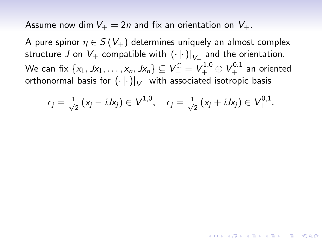Assume now dim  $V_+ = 2n$  and fix an orientation on  $V_+$ .

A pure spinor  $\eta \in S(V_+)$  determines uniquely an almost complex structure  $J$  on  $V_+$  compatible with  $\left(\cdot\left|\cdot\right|\right)_{V_+}$  and the orientation. We can fix  $\{x_1, Jx_1, \ldots, x_n, Jx_n\} \subseteq V^{\mathbb{C}}_+ = V^{1,0}_+ \oplus V^{0,1}_+$  an oriented orthonormal basis for  $\left(\cdot\left\vert \cdot\right\vert \right) _{V_{+}}$  with associated isotropic basis

$$
\epsilon_j = \frac{1}{\sqrt{2}} (x_j - iJx_j) \in V^{1,0}_+, \quad \bar{\epsilon}_j = \frac{1}{\sqrt{2}} (x_j + iJx_j) \in V^{0,1}_+.
$$

**KORKAR KERKER SAGA**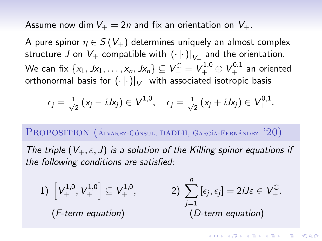Assume now dim  $V_+ = 2n$  and fix an orientation on  $V_+$ .

A pure spinor  $\eta \in S(V_+)$  determines uniquely an almost complex structure  $J$  on  $V_+$  compatible with  $\left(\cdot\left|\cdot\right|\right)_{V_+}$  and the orientation. We can fix  $\{x_1, Jx_1, \ldots, x_n, Jx_n\} \subseteq V^{\mathbb{C}}_+ = V^{1,0}_+ \oplus V^{0,1}_+$  an oriented orthonormal basis for  $\left(\cdot\left\vert \cdot\right\vert \right) _{V_{+}}$  with associated isotropic basis

$$
\epsilon_j = \frac{1}{\sqrt{2}} (x_j - iJx_j) \in V^{1,0}_+, \quad \bar{\epsilon}_j = \frac{1}{\sqrt{2}} (x_j + iJx_j) \in V^{0,1}_+.
$$

PROPOSITION  $(A_{LVAREZ}C\acute{o}n$ sul, DADLH, GARCÍA-FERNÁNDEZ  $'20$ )

The triple  $(V_+, \varepsilon, J)$  is a solution of the Killing spinor equations if the following conditions are satisfied:

1) 
$$
\left[V_{+}^{1,0}, V_{+}^{1,0}\right] \subseteq V_{+}^{1,0}
$$
, 2)  $\sum_{j=1}^{n} \left[\epsilon_{j}, \overline{\epsilon}_{j}\right] = 2iJ\varepsilon \in V_{+}^{\mathbb{C}}$ .  
\n(F-term equation) *(D-term equation)*

**KORKARYKERKER POLO**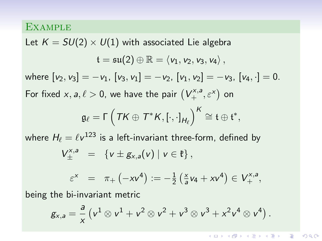Let  $K = SU(2) \times U(1)$  with associated Lie algebra  $t = \mathfrak{su}(2) \oplus \mathbb{R} = \langle v_1, v_2, v_3, v_4 \rangle$ . where  $[v_2, v_3] = -v_1$ ,  $[v_3, v_1] = -v_2$ ,  $[v_1, v_2] = -v_3$ ,  $[v_4, \cdot] = 0$ . For fixed  $x, a, \ell > 0$ , we have the pair  $(V_+^{x,a}, \varepsilon^x)$  on  $\mathfrak{g}_\ell = \mathsf{\Gamma} \left( \textsf{TK} \oplus \textsf{T}^\ast \textsf{K}, \left[ \cdot , \cdot \right]_{\mathsf{H}_\ell} \right)^\mathsf{K} \cong \mathfrak{t} \oplus \mathfrak{t}^\ast,$ 

where  $H_\ell = \ell v^{123}$  is a left-invariant three-form, defined by

$$
V^{\text{x},a}_{\pm} \ = \ \left\{ v \pm g_{\text{x},a}(v) \mid v \in \mathfrak{k} \right\},
$$

$$
\varepsilon^{x} = \pi_{+}(-xv^{4}) := -\frac{1}{2}(\frac{x}{a}v_{4} + xv^{4}) \in V_{+}^{x,a},
$$

being the bi-invariant metric

$$
g_{x,a} = \frac{a}{x} \left(v^1 \otimes v^1 + v^2 \otimes v^2 + v^3 \otimes v^3 + x^2 v^4 \otimes v^4\right).
$$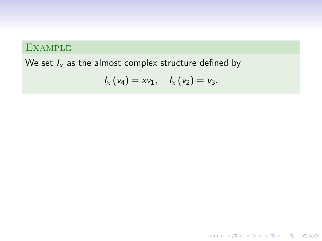We set  $I_x$  as the almost complex structure defined by

$$
I_{x}(v_{4})=xv_{1}, \quad I_{x}(v_{2})=v_{3}.
$$

K ロ ▶ K @ ▶ K 할 ▶ K 할 ▶ | 할 | © 9 Q @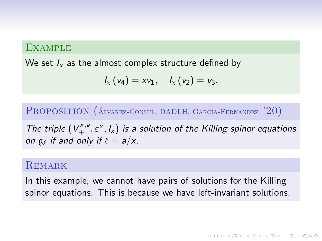We set  $I_x$  as the almost complex structure defined by

$$
I_{x}(v_{4})=xv_{1}, I_{x}(v_{2})=v_{3}.
$$

PROPOSITION  $(A_{LVAREZ}C\acute{o}n$ sul, DADLH, GARCÍA-FERNÁNDEZ  $'20$ )

The triple  $(V_+^{x,a}, \varepsilon^x, I_x)$  is a solution of the Killing spinor equations on  $\mathfrak{g}_{\ell}$  if and only if  $\ell = a/x$ .

#### **REMARK**

In this example, we cannot have pairs of solutions for the Killing spinor equations. This is because we have left-invariant solutions.

**KORKAR KERKER SAGA**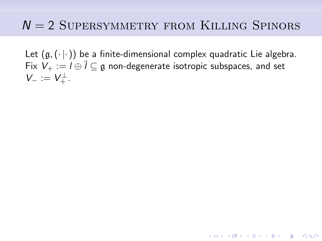# $N = 2$  SUPERSYMMETRY FROM KILLING SPINORS

Let  $(g, (\cdot | \cdot))$  be a finite-dimensional complex quadratic Lie algebra. Fix  $V_+ := I \oplus \overline{I} \subseteq \mathfrak{g}$  non-degenerate isotropic subspaces, and set  $V_{-} := V_{+}^{\perp}.$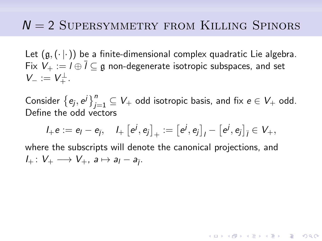# $N = 2$  SUPERSYMMETRY FROM KILLING SPINORS

Let  $(g, (\cdot | \cdot))$  be a finite-dimensional complex quadratic Lie algebra. Fix  $V_{+} := I \oplus \overline{I} \subseteq \mathfrak{g}$  non-degenerate isotropic subspaces, and set  $V_{-} := V_{+}^{\perp}.$ 

Consider  $\left\{e_j,e^j\right\}_{j=1}^n\subseteq V_+$  odd isotropic basis, and fix  $e\in V_+$  odd. Define the odd vectors

$$
I_+e:=e_I-e_{\overline{I}},\quad I_+\left[e^j,e_j\right]_+:=\left[e^j,e_j\right]_I-\left[e^j,e_j\right]_{\overline{I}}\in V_+,
$$

**KORKAR KERKER SAGA** 

where the subscripts will denote the canonical projections, and  $I_+ \colon V_+ \longrightarrow V_+$ ,  $a \mapsto a_1 - a_{\overline{1}}$ .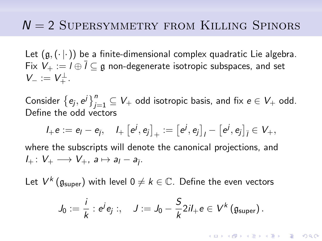# $N = 2$  SUPERSYMMETRY FROM KILLING SPINORS

Let  $(g, (\cdot | \cdot))$  be a finite-dimensional complex quadratic Lie algebra. Fix  $V_+ := I \oplus \overline{I} \subseteq \mathfrak{g}$  non-degenerate isotropic subspaces, and set  $V_{-} := V_{+}^{\perp}.$ 

Consider  $\left\{e_j,e^j\right\}_{j=1}^n\subseteq V_+$  odd isotropic basis, and fix  $e\in V_+$  odd. Define the odd vectors

$$
l_+e := e_l - e_{\bar{l}}, \quad l_+ \left[ e^j, e_j \right]_+ := \left[ e^j, e_j \right]_l - \left[ e^j, e_j \right]_{\bar{l}} \in V_+,
$$
  
where the subscripts will denote the canonical projections, and

 $I_+ \colon V_+ \longrightarrow V_+$ ,  $a \mapsto a_1 - a_{\overline{1}}$ .

Let  $V^k\left(\mathfrak{g}_{\text{super}}\right)$  with level  $0\neq k\in\mathbb{C}.$  Define the even vectors

$$
J_0 := \frac{i}{k} : e^j e_j : , \quad J := J_0 - \frac{S}{k} 2i I_+ e \in V^k (\mathfrak{g}_{super}).
$$

YO A 4 4 4 4 5 A 4 5 A 4 D + 4 D + 4 D + 4 D + 4 D + 4 D + + E + + D + + E + + O + O + + + + + + + +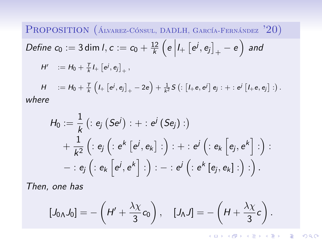PROPOSITION  $(A_{\text{LVAREZ-C\'ONSUL, DADLH, GARC\'IA-FERNÁNDEZ}}$  '20) *Define*  $c_0 := 3 \dim l, c := c_0 + \frac{12}{k}$  $\frac{12}{k}\left(e\left|l_{+}\left[e^{j},e_{j}\right]_{+}-e\right.\right)$  and  $H' \quad := H_0 + \frac{T}{k} I_+ \left[ e^{j}, e_j \right]_+,$ 

 $H \quad := H_0 + \frac{T}{k} \left( I_+ \left[ e^{j}, e_j \right]_+ - 2e \right) + \frac{1}{k^2} S \left( : \left[ I_+ e, e^{j} \right] e_j : + : e^{j} \left[ I_+ e, e_j \right] : \right).$ where

$$
H_0 := \frac{1}{k} ( : e_j (Se^j) : + : e^j (Se_j) : ) + \frac{1}{k^2} ( : e_j ( : e^k [e^j, e_k] : ) : + : e^j ( : e_k [e_j, e^k] : ) : - : e_j ( : e_k [e^j, e^k] : ) : - : e^j ( : e^k [e_j, e_k] : ) : ).
$$

Then, one has

$$
[J_{0\Lambda}J_0]=-\left(H'+\frac{\lambda\chi}{3}c_0\right), \quad [J_{\Lambda}J]=-\left(H+\frac{\lambda\chi}{3}c\right).
$$

**KORKARYKERKER POLO**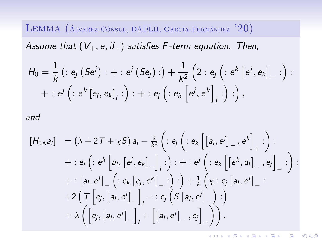LEMMA (ÁLVAREZ-CÓNSUL, DADLH, GARCÍA-FERNÁNDEZ  $'20$ )

Assume that  $(V_+, e, il_+)$  satisfies F-term equation. Then,

$$
H_0 = \frac{1}{k} ( : e_j (Se^j) : + : e^j (Se_j) : ) + \frac{1}{k^2} (2 : e_j ( : e^k [e^j, e_k]_- : ) : + : e^j ( : e^k [e_j, e_k]_j : ) : + : e_j ( : e_k [e^j, e^k]_{\overline{j}} : ) : ),
$$

and

$$
[H_{0\Lambda}a_{I}] = (\lambda + 2T + \chi S) a_{I} - \frac{2}{k^{2}} \left( : e_{j} \left( : e_{k} \left[ [a_{I}, e^{j}]_{-,} e^{k} \right]_{+} : \right) : + : e_{j} \left( : e^{k} \left[ a_{I}, [e^{j}, e_{k}]_{-} \right]_{I} : \right) : + : e^{j} \left( : e_{k} \left[ [e^{k}, a_{I}]_{-,} e_{j} \right]_{-} : \right) : + : [a_{I}, e^{j}]_{-} \left( : e_{k} \left[ e_{j}, e^{k} \right]_{-} : \right) : \right) + \frac{1}{k} \left( \chi : e_{j} \left[ a_{I}, e^{j} \right]_{-} : + 2 \left( T \left[ e_{j}, [a_{I}, e^{j}]_{-} \right]_{I} - : e_{j} \left( S \left[ a_{I}, e^{j} \right]_{-} \right) : \right) + \lambda \left( \left[ e_{j}, [a_{I}, e^{j}]_{-} \right]_{I} + \left[ \left[ a_{I}, e^{j} \right]_{-}, e_{j} \right]_{-} \right) \right).
$$

**KORK SERVER SOLO**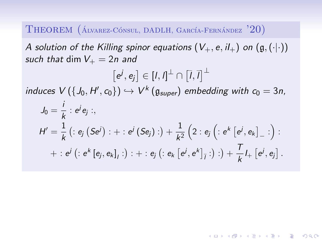THEOREM (ÁLVAREZ-CÓNSUL, DADLH, GARCÍA-FERNÁNDEZ '20)

A solution of the Killing spinor equations  $(V_+, e, il_+)$  on  $(g, (\cdot | \cdot))$ such that dim  $V_+ = 2n$  and

$$
[e^{j}, e_{j}] \in [l, l]^{\perp} \cap [l, l]^{\perp}
$$
  
induces  $V(\{J_0, H', c_0\}) \hookrightarrow V^k(\mathfrak{g}_{super})$  embedding with  $c_0 = 3n$ ,  

$$
J_0 = \frac{i}{k} : e^{j} e_{j} : ,
$$

$$
H' = \frac{1}{k} (e_{j} (Se^{j}) : + : e^{j} (Se_{j}) : ) + \frac{1}{k^2} (2 : e_{j} (e^{k} [e^{j}, e_{k}]_{-} : ) : + : e^{j} (e^{k} [e_{j}, e_{k}]_{j} : ) : + : e_{j} (e^{k} [e^{j}, e^{k}]_{j} : ) : ) + \frac{T}{k} I_{+} [e^{j}, e_{j}].
$$

**KORKARYKERKER POLO**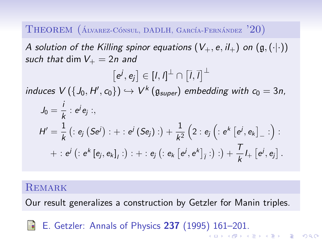THEOREM (ÁLVAREZ-CÓNSUL, DADLH, GARCÍA-FERNÁNDEZ '20)

A solution of the Killing spinor equations  $(V_+, e, il_+)$  on  $(g, (\cdot | \cdot))$ such that dim  $V_+ = 2n$  and

$$
[e^{j}, e_{j}] \in [I, I]^{\perp} \cap [I, I]^{\perp}
$$
  
induces  $V(\{J_0, H', c_0\}) \hookrightarrow V^k(\mathfrak{g}_{super})$  embedding with  $c_0 = 3n$ ,  

$$
J_0 = \frac{i}{k} : e^{j} e_{j} : ,
$$

$$
H' = \frac{1}{k} (e_{j} (Se^{j}) : + : e^{j} (Se_{j}) : ) + \frac{1}{k^2} (2 : e_{j} (e^{k} [e^{j}, e_{k}]_{-} : ) : + : e^{j} (e^{k} [e_{j}, e_{k}]_{j} : ) : + : e_{j} (e^{k} [e^{j}, e^{k}]_{j} : ) : ) + \frac{T}{k} I_{+} [e^{j}, e_{j}].
$$

### **REMARK**

Our result generalizes a construction by Getzler for Manin triples.

E. Getzler: Annals of Physics 237 (1995) 161–201.量 .<br>◆ ロ ▶ ◆ *団* ▶ ◆ 결 ▶ → 결 ▶ │ 결 │ ◆ 9 Q <del>◇</del>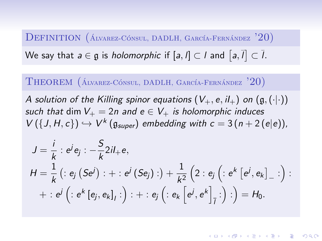### DEFINITION (ÁLVAREZ-CÓNSUL, DADLH, GARCÍA-FERNÁNDEZ '20)

We say that  $a \in \mathfrak{g}$  is *holomorphic* if  $[a, l] \subset l$  and  $\, | \, a, l \, | \subset l.$ 

THEOREM  $(A_{\text{LVAREZ}} \text{Cónsul}, \text{DADLH}, \text{GARCía-FERNÁNDEZ} '20)$ 

A solution of the Killing spinor equations  $(V_+, e, il_+)$  on  $(g, (\cdot | \cdot))$ such that dim  $V_+ = 2n$  and  $e \in V_+$  is holomorphic induces  $V(\lbrace J, H, c \rbrace) \hookrightarrow V^k(\mathfrak{g}_{super})$  embedding with  $c = 3(n + 2(e|e))$ ,

$$
J = \frac{i}{k} : e^{j} e_{j} : -\frac{S}{k} 2i l_{+} e,
$$
  
\n
$$
H = \frac{1}{k} ( : e_{j} (Se^{j}) : + : e^{j} (Se_{j}) : ) + \frac{1}{k^{2}} (2 : e_{j} ( : e^{k} [e^{j}, e_{k}]_{-} : ) : \n+ : e^{j} ( : e^{k} [e_{j}, e_{k}]_{j} : ) : + : e_{j} ( : e_{k} [e^{j}, e^{k}]_{j} : ) : ) = H_{0}.
$$

**KORKAR KERKER SAGA**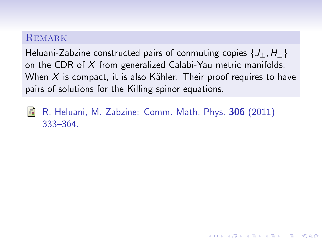### **REMARK**

Heluani-Zabzine constructed pairs of conmuting copies  $\{J_+, H_+\}$ on the CDR of  $X$  from generalized Calabi-Yau metric manifolds. When  $X$  is compact, it is also Kähler. Their proof requires to have pairs of solutions for the Killing spinor equations.

**KORKARYKERKER POLO** 

晶 R. Heluani, M. Zabzine: Comm. Math. Phys. 306 (2011) 333–364.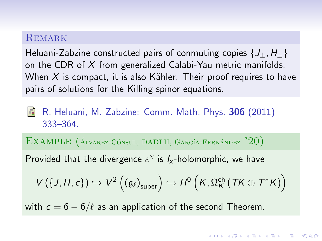#### **REMARK**

Heluani-Zabzine constructed pairs of conmuting copies  $\{J_+, H_+\}$ on the CDR of  $X$  from generalized Calabi-Yau metric manifolds. When  $X$  is compact, it is also Kähler. Their proof requires to have pairs of solutions for the Killing spinor equations.

R. Heluani, M. Zabzine: Comm. Math. Phys. 306 (2011) 333–364.

EXAMPLE  $(A_{\text{LVAREZ-C}$ ÓNSUL, DADLH, GARCÍA-FERNÁNDEZ '20)

Provided that the divergence  $\varepsilon^x$  is  $I_x$ -holomorphic, we have

$$
V\left(\left\{J,H,c\right\}\right)\hookrightarrow V^2\left(\left(\mathfrak{g}_{\ell}\right)_{\text{super}}\right)\hookrightarrow H^0\left(K,\Omega_K^{\text{ch}}\left(TK\oplus T^*K\right)\right)
$$

YO A 4 4 4 4 5 A 4 5 A 4 D + 4 D + 4 D + 4 D + 4 D + 4 D + + E + + D + + E + + O + O + + + + + + + +

with  $c = 6 - 6/\ell$  as an application of the second Theorem.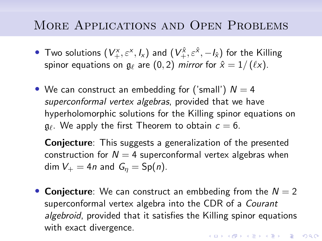# More Applications and Open Problems

- Two solutions  $(V_+^x, \varepsilon^x, I_x)$  and  $(V_+^{\hat{x}}, \varepsilon^{\hat{x}}, -I_{\hat{x}})$  for the Killing spinor equations on  $\mathfrak{g}_{\ell}$  are  $(0, 2)$  mirror for  $\hat{x} = 1/ (\ell x)$ .
- We can construct an embedding for ('small')  $N = 4$ superconformal vertex algebras, provided that we have hyperholomorphic solutions for the Killing spinor equations on  $\mathfrak{g}_\ell.$  We apply the first Theorem to obtain  $c = 6.$

Conjecture: This suggests a generalization of the presented construction for  $N = 4$  superconformal vertex algebras when dim  $V_+ = 4n$  and  $G_n = Sp(n)$ .

• Conjecture: We can construct an embbeding from the  $N = 2$ superconformal vertex algebra into the CDR of a Courant algebroid, provided that it satisfies the Killing spinor equations with exact divergence.KID KA KERKER E VOOR